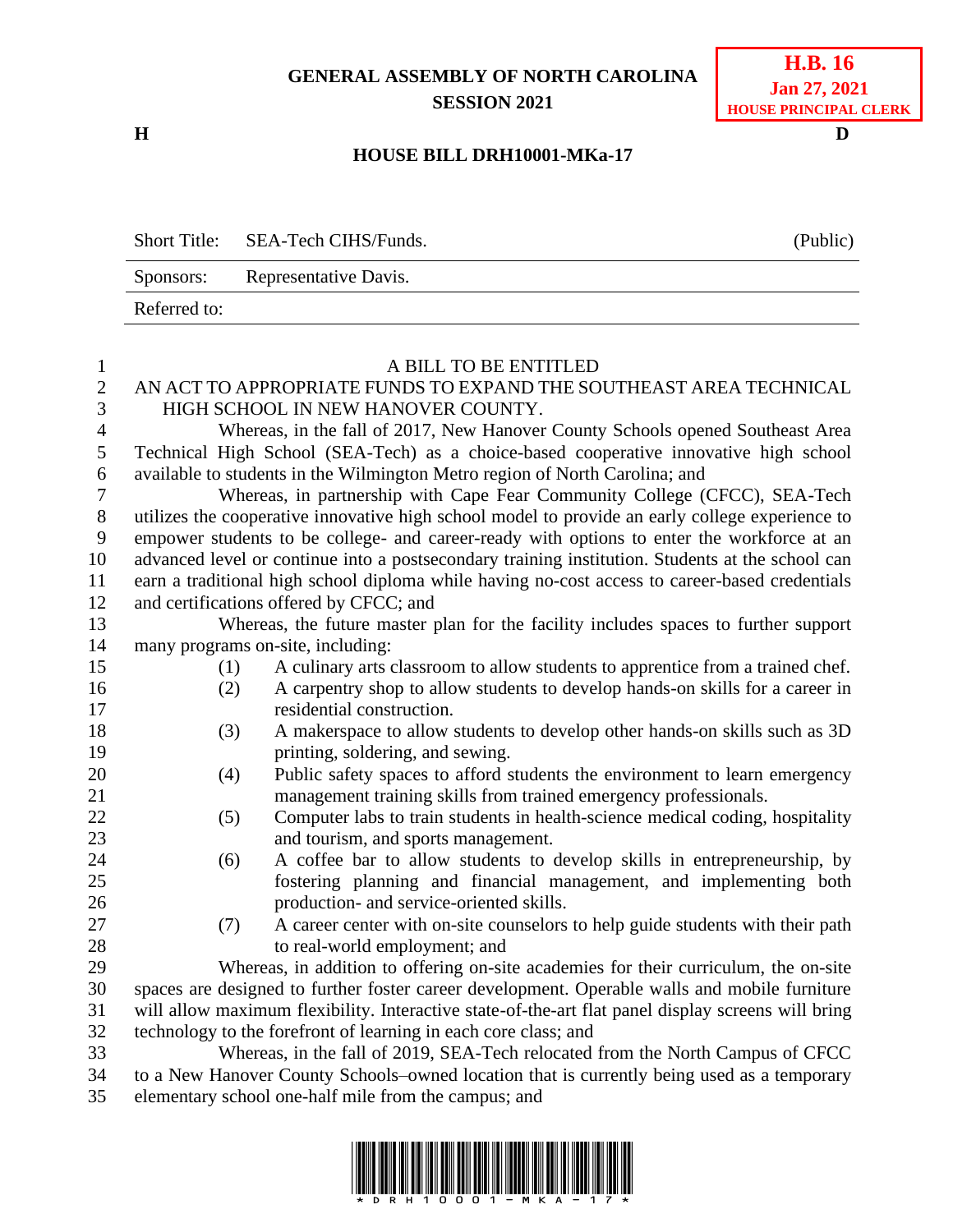## **GENERAL ASSEMBLY OF NORTH CAROLINA SESSION 2021**

**H D**

**H.B. 16 Jan 27, 2021 HOUSE PRINCIPAL CLERK**

## **HOUSE BILL DRH10001-MKa-17**

|              | Short Title: SEA-Tech CIHS/Funds. | (Public) |
|--------------|-----------------------------------|----------|
| Sponsors:    | Representative Davis.             |          |
| Referred to: |                                   |          |

| $\mathbf{1}$     |                                                                                                | A BILL TO BE ENTITLED                                                                              |  |  |  |
|------------------|------------------------------------------------------------------------------------------------|----------------------------------------------------------------------------------------------------|--|--|--|
| $\sqrt{2}$       | AN ACT TO APPROPRIATE FUNDS TO EXPAND THE SOUTHEAST AREA TECHNICAL                             |                                                                                                    |  |  |  |
| 3                |                                                                                                | HIGH SCHOOL IN NEW HANOVER COUNTY.                                                                 |  |  |  |
| $\overline{4}$   |                                                                                                | Whereas, in the fall of 2017, New Hanover County Schools opened Southeast Area                     |  |  |  |
| 5                |                                                                                                | Technical High School (SEA-Tech) as a choice-based cooperative innovative high school              |  |  |  |
| 6                |                                                                                                | available to students in the Wilmington Metro region of North Carolina; and                        |  |  |  |
| $\boldsymbol{7}$ |                                                                                                | Whereas, in partnership with Cape Fear Community College (CFCC), SEA-Tech                          |  |  |  |
| $8\,$            |                                                                                                | utilizes the cooperative innovative high school model to provide an early college experience to    |  |  |  |
| 9                |                                                                                                | empower students to be college- and career-ready with options to enter the workforce at an         |  |  |  |
| 10               |                                                                                                | advanced level or continue into a postsecondary training institution. Students at the school can   |  |  |  |
| 11               | earn a traditional high school diploma while having no-cost access to career-based credentials |                                                                                                    |  |  |  |
| 12               |                                                                                                | and certifications offered by CFCC; and                                                            |  |  |  |
| 13               |                                                                                                | Whereas, the future master plan for the facility includes spaces to further support                |  |  |  |
| 14               |                                                                                                | many programs on-site, including:                                                                  |  |  |  |
| 15               | (1)                                                                                            | A culinary arts classroom to allow students to apprentice from a trained chef.                     |  |  |  |
| 16               | (2)                                                                                            | A carpentry shop to allow students to develop hands-on skills for a career in                      |  |  |  |
| 17               |                                                                                                | residential construction.                                                                          |  |  |  |
| 18               | (3)                                                                                            | A makerspace to allow students to develop other hands-on skills such as 3D                         |  |  |  |
| 19               |                                                                                                | printing, soldering, and sewing.                                                                   |  |  |  |
| 20               | (4)                                                                                            | Public safety spaces to afford students the environment to learn emergency                         |  |  |  |
| 21               |                                                                                                | management training skills from trained emergency professionals.                                   |  |  |  |
| 22               | (5)                                                                                            | Computer labs to train students in health-science medical coding, hospitality                      |  |  |  |
| 23               |                                                                                                | and tourism, and sports management.                                                                |  |  |  |
| 24               | (6)                                                                                            | A coffee bar to allow students to develop skills in entrepreneurship, by                           |  |  |  |
| 25               |                                                                                                | fostering planning and financial management, and implementing both                                 |  |  |  |
| 26               |                                                                                                | production- and service-oriented skills.                                                           |  |  |  |
| 27               | (7)                                                                                            | A career center with on-site counselors to help guide students with their path                     |  |  |  |
| 28               |                                                                                                | to real-world employment; and                                                                      |  |  |  |
| 29               |                                                                                                | Whereas, in addition to offering on-site academies for their curriculum, the on-site               |  |  |  |
| 30               |                                                                                                | spaces are designed to further foster career development. Operable walls and mobile furniture      |  |  |  |
| 31               |                                                                                                | will allow maximum flexibility. Interactive state-of-the-art flat panel display screens will bring |  |  |  |
| 32               |                                                                                                | technology to the forefront of learning in each core class; and                                    |  |  |  |
| 33               |                                                                                                | Whereas, in the fall of 2019, SEA-Tech relocated from the North Campus of CFCC                     |  |  |  |
| 34               |                                                                                                | to a New Hanover County Schools–owned location that is currently being used as a temporary         |  |  |  |
| 35               |                                                                                                | elementary school one-half mile from the campus; and                                               |  |  |  |